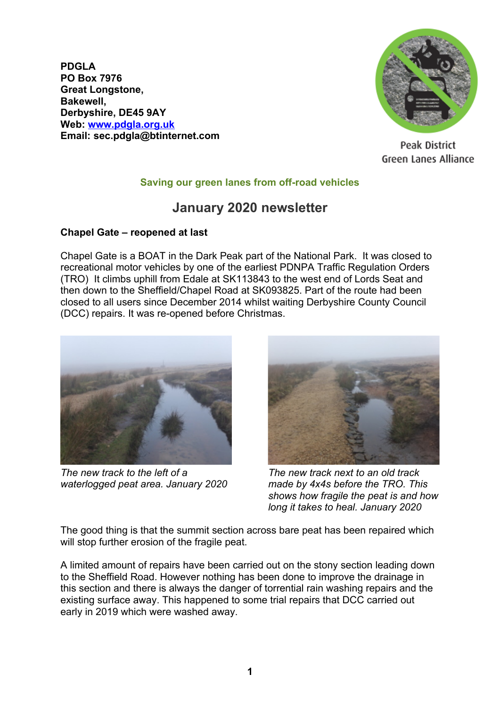**PDGLA PO Box 7976 Great Longstone, Bakewell, Derbyshire, DE45 9AY Web: [www.pdgla.org.uk](http://www.pdgla.org.uk/) Email: sec.pdgla@btinternet.com**



Peak District Green Lanes Alliance

## **Saving our green lanes from off-road vehicles**

## **January 2020 newsletter**

## **Chapel Gate – reopened at last**

Chapel Gate is a BOAT in the Dark Peak part of the National Park. It was closed to recreational motor vehicles by one of the earliest PDNPA Traffic Regulation Orders (TRO) It climbs uphill from Edale at SK113843 to the west end of Lords Seat and then down to the Sheffield/Chapel Road at SK093825. Part of the route had been closed to all users since December 2014 whilst waiting Derbyshire County Council (DCC) repairs. It was re-opened before Christmas.



*The new track to the left of a waterlogged peat area. January 2020*



*The new track next to an old track made by 4x4s before the TRO. This shows how fragile the peat is and how long it takes to heal. January 2020*

The good thing is that the summit section across bare peat has been repaired which will stop further erosion of the fragile peat.

A limited amount of repairs have been carried out on the stony section leading down to the Sheffield Road. However nothing has been done to improve the drainage in this section and there is always the danger of torrential rain washing repairs and the existing surface away. This happened to some trial repairs that DCC carried out early in 2019 which were washed away.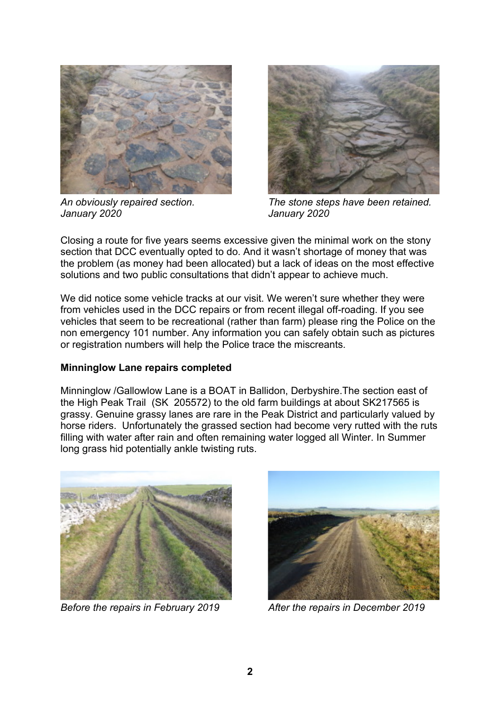

*An obviously repaired section. January 2020*



*The stone steps have been retained. January 2020*

Closing a route for five years seems excessive given the minimal work on the stony section that DCC eventually opted to do. And it wasn't shortage of money that was the problem (as money had been allocated) but a lack of ideas on the most effective solutions and two public consultations that didn't appear to achieve much.

We did notice some vehicle tracks at our visit. We weren't sure whether they were from vehicles used in the DCC repairs or from recent illegal off-roading. If you see vehicles that seem to be recreational (rather than farm) please ring the Police on the non emergency 101 number. Any information you can safely obtain such as pictures or registration numbers will help the Police trace the miscreants.

## **Minninglow Lane repairs completed**

Minninglow /Gallowlow Lane is a BOAT in Ballidon, Derbyshire.The section east of the High Peak Trail (SK 205572) to the old farm buildings at about SK217565 is grassy. Genuine grassy lanes are rare in the Peak District and particularly valued by horse riders. Unfortunately the grassed section had become very rutted with the ruts filling with water after rain and often remaining water logged all Winter. In Summer long grass hid potentially ankle twisting ruts.



*Before the repairs in February 2019 After the repairs in December 2019*